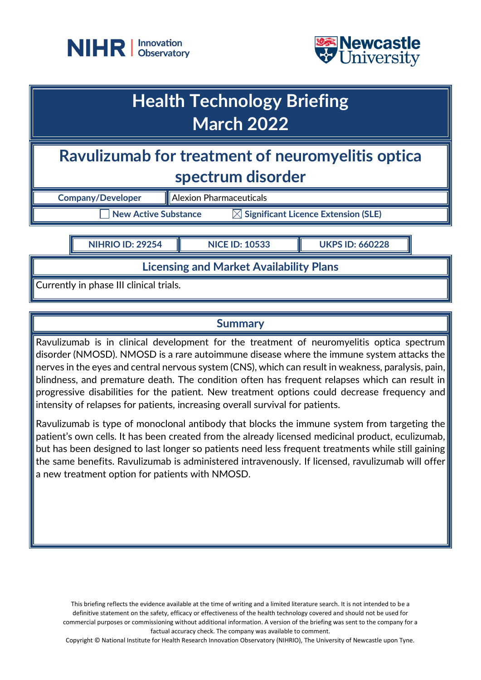



# **Health Technology Briefing March 2022**

# **Ravulizumab for treatment of neuromyelitis optica spectrum disorder**

| <b>Company/Developer</b> | Alexion Pharmaceuticals                         |  |
|--------------------------|-------------------------------------------------|--|
| New Active Substance     | $\boxtimes$ Significant Licence Extension (SLE) |  |

**NIHRIO ID: 29254 NICE ID: 10533 UKPS ID: 660228**

**Licensing and Market Availability Plans**

Currently in phase III clinical trials.

### **Summary**

Ravulizumab is in clinical development for the treatment of neuromyelitis optica spectrum disorder (NMOSD). NMOSD is a rare autoimmune disease where the immune system attacks the nerves in the eyes and central nervous system (CNS), which can result in weakness, paralysis, pain, blindness, and premature death. The condition often has frequent relapses which can result in progressive disabilities for the patient. New treatment options could decrease frequency and intensity of relapses for patients, increasing overall survival for patients.

Ravulizumab is type of monoclonal antibody that blocks the immune system from targeting the patient's own cells. It has been created from the already licensed medicinal product, eculizumab, but has been designed to last longer so patients need less frequent treatments while still gaining the same benefits. Ravulizumab is administered intravenously. If licensed, ravulizumab will offer a new treatment option for patients with NMOSD.

This briefing reflects the evidence available at the time of writing and a limited literature search. It is not intended to be a definitive statement on the safety, efficacy or effectiveness of the health technology covered and should not be used for commercial purposes or commissioning without additional information. A version of the briefing was sent to the company for a factual accuracy check. The company was available to comment.

Copyright © National Institute for Health Research Innovation Observatory (NIHRIO), The University of Newcastle upon Tyne.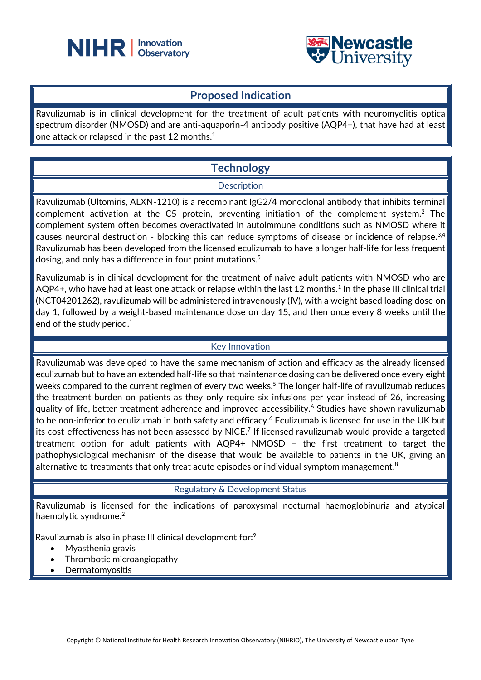



### **Proposed Indication**

Ravulizumab is in clinical development for the treatment of adult patients with neuromyelitis optica spectrum disorder (NMOSD) and are anti-aquaporin-4 antibody positive (AQP4+), that have had at least one attack or relapsed in the past 12 months.<sup>1</sup>

# **Technology**

#### **Description**

Ravulizumab (Ultomiris, ALXN-1210) is a recombinant IgG2/4 monoclonal antibody that inhibits terminal complement activation at the C5 protein, preventing initiation of the complement system. <sup>2</sup> The complement system often becomes overactivated in autoimmune conditions such as NMOSD where it causes neuronal destruction - blocking this can reduce symptoms of disease or incidence of relapse.<sup>3,4</sup> Ravulizumab has been developed from the licensed eculizumab to have a longer half-life for less frequent dosing, and only has a difference in four point mutations.<sup>5</sup>

Ravulizumab is in clinical development for the treatment of naive adult patients with NMOSD who are AQP4+, who have had at least one attack or relapse within the last 12 months. $^1$  In the phase III clinical trial (NCT04201262), ravulizumab will be administered intravenously (IV), with a weight based loading dose on day 1, followed by a weight-based maintenance dose on day 15, and then once every 8 weeks until the end of the study period.<sup>1</sup>

#### Key Innovation

Ravulizumab was developed to have the same mechanism of action and efficacy as the already licensed eculizumab but to have an extended half-life so that maintenance dosing can be delivered once every eight weeks compared to the current regimen of every two weeks. <sup>5</sup> The longer half-life of ravulizumab reduces the treatment burden on patients as they only require six infusions per year instead of 26, increasing quality of life, better treatment adherence and improved accessibility.<sup>6</sup> Studies have shown ravulizumab to be non-inferior to eculizumab in both safety and efficacy. <sup>6</sup> Eculizumab is licensed for use in the UK but its cost-effectiveness has not been assessed by NICE. $^7$  If licensed ravulizumab would provide a targeted treatment option for adult patients with AQP4+ NMOSD - the first treatment to target the pathophysiological mechanism of the disease that would be available to patients in the UK, giving an alternative to treatments that only treat acute episodes or individual symptom management. $^8$ 

Regulatory & Development Status

Ravulizumab is licensed for the indications of paroxysmal nocturnal haemoglobinuria and atypical haemolytic syndrome.<sup>2</sup>

Ravulizumab is also in phase III clinical development for:<sup>9</sup>

- Myasthenia gravis
- Thrombotic microangiopathy
- **Dermatomyositis**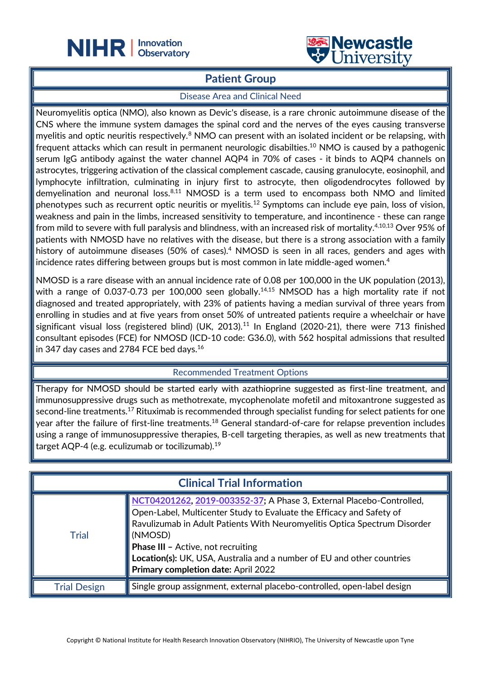

#### **Patient Group**

֦

#### Disease Area and Clinical Need

Neuromyelitis optica (NMO), also known as Devic's disease, is a rare chronic autoimmune disease of the CNS where the immune system damages the spinal cord and the nerves of the eyes causing transverse myelitis and optic neuritis respectively.<sup>8</sup> NMO can present with an isolated incident or be relapsing, with frequent attacks which can result in permanent neurologic disabilties. <sup>10</sup> NMO is caused by a pathogenic serum IgG antibody against the water channel AQP4 in 70% of cases - it binds to AQP4 channels on astrocytes, triggering activation of the classical complement cascade, causing granulocyte, eosinophil, and lymphocyte infiltration, culminating in injury first to astrocyte, then oligodendrocytes followed by demyelination and neuronal loss.<sup>8,11</sup> NMOSD is a term used to encompass both NMO and limited phenotypes such as recurrent optic neuritis or myelitis.<sup>12</sup> Symptoms can include eye pain, loss of vision, weakness and pain in the limbs, increased sensitivity to temperature, and incontinence - these can range from mild to severe with full paralysis and blindness, with an increased risk of mortality.<sup>4,10,13</sup> Over 95% of patients with NMOSD have no relatives with the disease, but there is a strong association with a family history of autoimmune diseases (50% of cases).<sup>4</sup> NMOSD is seen in all races, genders and ages with incidence rates differing between groups but is most common in late middle-aged women. 4

NMOSD is a rare disease with an annual incidence rate of 0.08 per 100,000 in the UK population (2013), with a range of 0.037-0.73 per 100,000 seen globally.<sup>14,15</sup> NMSOD has a high mortality rate if not diagnosed and treated appropriately, with 23% of patients having a median survival of three years from enrolling in studies and at five years from onset 50% of untreated patients require a wheelchair or have significant visual loss (registered blind) (UK, 2013).<sup>11</sup> In England (2020-21), there were 713 finished consultant episodes (FCE) for NMOSD (ICD-10 code: G36.0), with 562 hospital admissions that resulted in 347 day cases and 2784 FCE bed days.<sup>16</sup>

#### Recommended Treatment Options

Therapy for NMOSD should be started early with azathioprine suggested as first-line treatment, and immunosuppressive drugs such as methotrexate, mycophenolate mofetil and mitoxantrone suggested as second-line treatments.<sup>17</sup> Rituximab is recommended through specialist funding for select patients for one year after the failure of first-line treatments.<sup>18</sup> General standard-of-care for relapse prevention includes using a range of immunosuppressive therapies, B-cell targeting therapies, as well as new treatments that target AQP-4 (e.g. eculizumab or tocilizumab).<sup>19</sup>

| <b>Clinical Trial Information</b> |                                                                                                                                                            |  |
|-----------------------------------|------------------------------------------------------------------------------------------------------------------------------------------------------------|--|
|                                   | NCT04201262, 2019-003352-37; A Phase 3, External Placebo-Controlled,<br>$\big\vert$ Open-Label, Multicenter Study to Evaluate the Efficacy and Safety of   |  |
| <b>Trial</b>                      | Ravulizumab in Adult Patients With Neuromyelitis Optica Spectrum Disorder<br>(NMOSD)                                                                       |  |
|                                   | <b>Phase III - Active, not recruiting</b><br>Location(s): UK, USA, Australia and a number of EU and other countries<br>Primary completion date: April 2022 |  |
| <b>Trial Design</b>               | Single group assignment, external placebo-controlled, open-label design                                                                                    |  |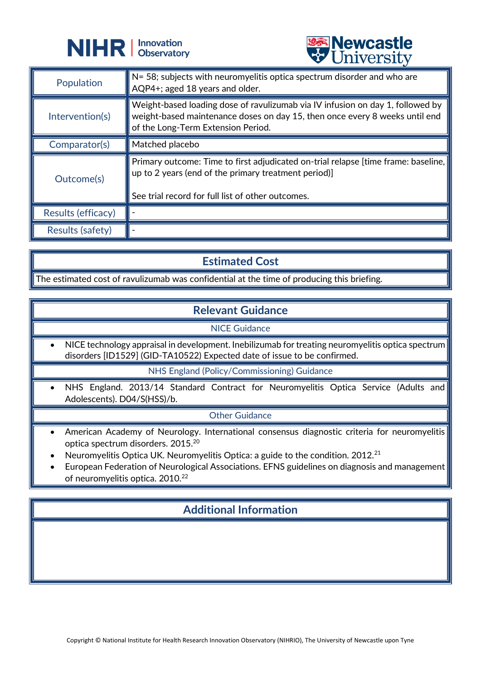



| <b>A</b> CITTACTOIA |                                                                                                                                                                                                     |
|---------------------|-----------------------------------------------------------------------------------------------------------------------------------------------------------------------------------------------------|
| Population          | N= 58; subjects with neuromyelitis optica spectrum disorder and who are<br>AQP4+; aged 18 years and older.                                                                                          |
| Intervention(s)     | Weight-based loading dose of ravulizumab via IV infusion on day 1, followed by<br>weight-based maintenance doses on day 15, then once every 8 weeks until end<br>of the Long-Term Extension Period. |
| Comparator(s)       | Matched placebo                                                                                                                                                                                     |
| Outcome(s)          | Primary outcome: Time to first adjudicated on-trial relapse [time frame: baseline,<br>up to 2 years (end of the primary treatment period)]<br>See trial record for full list of other outcomes.     |
| Results (efficacy)  |                                                                                                                                                                                                     |
| Results (safety)    |                                                                                                                                                                                                     |

## **Estimated Cost**

The estimated cost of ravulizumab was confidential at the time of producing this briefing.

### **Relevant Guidance**

NICE Guidance

NICE technology appraisal in development. Inebilizumab for treating neuromyelitis optica spectrum disorders [ID1529] (GID-TA10522) Expected date of issue to be confirmed.

NHS England (Policy/Commissioning) Guidance

NHS England. 2013/14 Standard Contract for Neuromyelitis Optica Service (Adults and Adolescents). D04/S(HSS)/b.

Other Guidance

- American Academy of Neurology. International consensus diagnostic criteria for neuromyelitis optica spectrum disorders. 2015.<sup>20</sup>
- Neuromyelitis Optica UK. Neuromyelitis Optica: a guide to the condition. 2012.<sup>21</sup>
- European Federation of Neurological Associations. EFNS guidelines on diagnosis and management of neuromyelitis optica. 2010.<sup>22</sup>

# **Additional Information**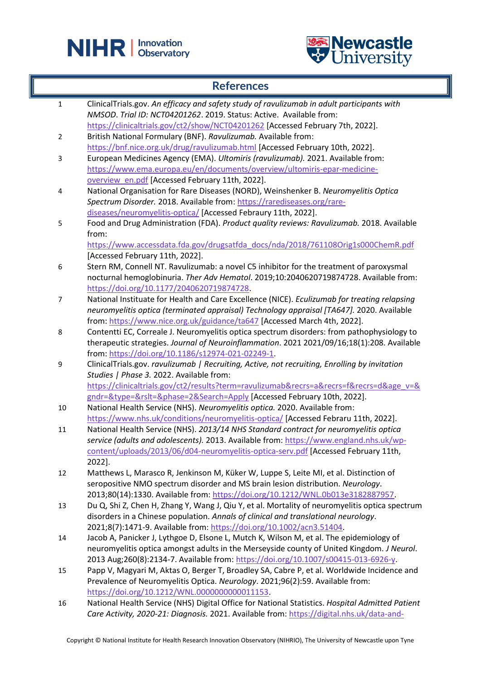



## **References**

| $\mathbf{1}$   | ClinicalTrials.gov. An efficacy and safety study of ravulizumab in adult participants with<br>NMSOD. Trial ID: NCT04201262. 2019. Status: Active. Available from: |
|----------------|-------------------------------------------------------------------------------------------------------------------------------------------------------------------|
|                | https://clinicaltrials.gov/ct2/show/NCT04201262 [Accessed February 7th, 2022].                                                                                    |
| $\overline{2}$ | British National Formulary (BNF). Ravulizumab. Available from:                                                                                                    |
|                | https://bnf.nice.org.uk/drug/ravulizumab.html [Accessed February 10th, 2022].                                                                                     |
| 3              | European Medicines Agency (EMA). Ultomiris (ravulizumab). 2021. Available from:                                                                                   |
|                | https://www.ema.europa.eu/en/documents/overview/ultomiris-epar-medicine-                                                                                          |
|                | overview en.pdf [Accessed February 11th, 2022].                                                                                                                   |
| 4              | National Organisation for Rare Diseases (NORD), Weinshenker B. Neuromyelitis Optica                                                                               |
|                | Spectrum Disorder. 2018. Available from: https://rarediseases.org/rare-                                                                                           |
|                | diseases/neuromyelitis-optica/ [Accessed Febraury 11th, 2022].                                                                                                    |
| 5              | Food and Drug Administration (FDA). Product quality reviews: Ravulizumab. 2018. Available                                                                         |
|                | from:                                                                                                                                                             |
|                | https://www.accessdata.fda.gov/drugsatfda_docs/nda/2018/761108Orig1s000ChemR.pdf                                                                                  |
|                | [Accessed February 11th, 2022].                                                                                                                                   |
| 6              | Stern RM, Connell NT. Ravulizumab: a novel C5 inhibitor for the treatment of paroxysmal                                                                           |
|                | nocturnal hemoglobinuria. Ther Adv Hematol. 2019;10:2040620719874728. Available from:                                                                             |
|                | https://doi.org/10.1177/2040620719874728.                                                                                                                         |
| $\overline{7}$ | National Instituate for Health and Care Excellence (NICE). Eculizumab for treating relapsing                                                                      |
|                | neuromyelitis optica (terminated appraisal) Technology appraisal [TA647]. 2020. Available                                                                         |
|                | from: https://www.nice.org.uk/guidance/ta647 [Accessed March 4th, 2022].                                                                                          |
| 8              | Contentti EC, Correale J. Neuromyelitis optica spectrum disorders: from pathophysiology to                                                                        |
|                | therapeutic strategies. Journal of Neuroinflammation. 2021 2021/09/16;18(1):208. Available                                                                        |
|                | from: https://doi.org/10.1186/s12974-021-02249-1.                                                                                                                 |
| 9              | ClinicalTrials.gov. ravulizumab   Recruiting, Active, not recruiting, Enrolling by invitation                                                                     |
|                | Studies   Phase 3. 2022. Available from:                                                                                                                          |
|                | https://clinicaltrials.gov/ct2/results?term=ravulizumab&recrs=a&recrs=f&recrs=d&age_v=&                                                                           |
|                | gndr=&type=&rslt=&phase=2&Search=Apply [Accessed February 10th, 2022].                                                                                            |
| 10             | National Health Service (NHS). Neuromyelitis optica. 2020. Available from:                                                                                        |
|                | https://www.nhs.uk/conditions/neuromyelitis-optica/ [Accessed Febraru 11th, 2022].                                                                                |
| 11             | National Health Service (NHS). 2013/14 NHS Standard contract for neuromyelitis optica                                                                             |
|                | service (adults and adolescents). 2013. Available from: https://www.england.nhs.uk/wp-                                                                            |
|                | content/uploads/2013/06/d04-neuromyelitis-optica-serv.pdf [Accessed February 11th,                                                                                |
|                | 2022].                                                                                                                                                            |
| 12             | Matthews L, Marasco R, Jenkinson M, Küker W, Luppe S, Leite MI, et al. Distinction of                                                                             |
|                | seropositive NMO spectrum disorder and MS brain lesion distribution. Neurology.                                                                                   |
|                | 2013;80(14):1330. Available from: https://doi.org/10.1212/WNL.0b013e3182887957.                                                                                   |
| 13             | Du Q, Shi Z, Chen H, Zhang Y, Wang J, Qiu Y, et al. Mortality of neuromyelitis optica spectrum                                                                    |
|                | disorders in a Chinese population. Annals of clinical and translational neurology.                                                                                |
|                | 2021;8(7):1471-9. Available from: https://doi.org/10.1002/acn3.51404.                                                                                             |
| 14             | Jacob A, Panicker J, Lythgoe D, Elsone L, Mutch K, Wilson M, et al. The epidemiology of                                                                           |
|                | neuromyelitis optica amongst adults in the Merseyside county of United Kingdom. J Neurol.                                                                         |
|                | 2013 Aug;260(8):2134-7. Available from: https://doi.org/10.1007/s00415-013-6926-y.                                                                                |
| 15             | Papp V, Magyari M, Aktas O, Berger T, Broadley SA, Cabre P, et al. Worldwide Incidence and                                                                        |
|                | Prevalence of Neuromyelitis Optica. Neurology. 2021;96(2):59. Available from:                                                                                     |
|                | https://doi.org/10.1212/WNL.0000000000011153.                                                                                                                     |
| 16             | National Health Service (NHS) Digital Office for National Statistics. Hospital Admitted Patient                                                                   |
|                | Care Activity, 2020-21: Diagnosis. 2021. Available from: https://digital.nhs.uk/data-and-                                                                         |
|                |                                                                                                                                                                   |